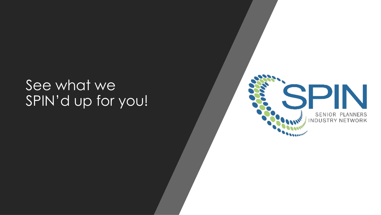# See what we SPIN'd up for you!

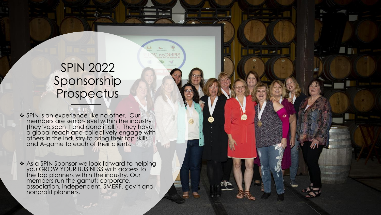## SPIN 2022 Sponsorship Prospectus

- ❖ SPIN is an experience like no other. Our members are senior-level within the industry (they've seen it and done it all!). They have a global reach and collectively engage with others in the industry to bring their top skills and A-game to each of their clients.
- ❖ As a SPIN Sponsor we look forward to helping you GROW YOUR BUSINESS with access to the top planners within the industry. Our members run the gamut: corporate, association, independent, SMERF, gov't and nonprofit planners.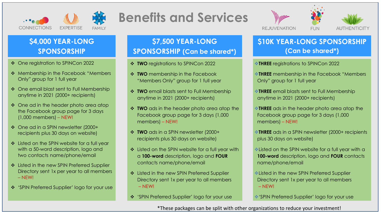

## **Benefits and Services**





### **\$4,000 YEAR-LONG SPONSORSHIP**

- ❖ One registration to SPINCon 2022
- ❖ Membership in the Facebook "Members Only" group for 1 full year
- ❖ One email blast sent to Full Membership anytime in 2021 (2000+ recipients)
- ❖ One ad in the header photo area atop the Facebook group page for 3 days (1,000 members) – NEW!
- ❖ One ad in a SPIN newsletter (2000+ recipients plus 30 days on website)
- ❖ Listed on the SPIN website for a full year with a 50-word description, logo and two contacts name/phone/email
- ❖ Listed in the new SPIN Preferred Supplier Directory sent 1x per year to all members – NEW!
- ❖ 'SPIN Preferred Supplier' logo for your use

### **\$7,500 YEAR-LONG SPONSORSHIP (Can be shared\*)**

- ❖ **TWO** registrations to SPINCon 2022
- ❖ **TWO** membership in the Facebook "Members Only" group for 1 full year
- ❖ **TWO** email blasts sent to Full Membership anytime in 2021 (2000+ recipients)
- ❖ **TWO** ads in the header photo area atop the Facebook group page for 3 days (1,000 members) – NEW!
- ❖ **TWO** ads in a SPIN newsletter (2000+ recipients plus 30 days on website)
- ❖ Listed on the SPIN website for a full year with a **100-word** description, logo and **FOUR** contacts name/phone/email
- ❖ Listed in the new SPIN Preferred Supplier Directory sent 1x per year to all members – NEW!
- ❖ 'SPIN Preferred Supplier' logo for your use

#### **\$10K YEAR-LONG SPONSORSHIP (Can be shared\*)**

- ❖**THREE** registrations to SPINCon 2022
- ❖**THREE** membership in the Facebook "Members Only" group for 1 full year
- ❖**THREE** email blasts sent to Full Membership anytime in 2021 (2000+ recipients)
- ❖**THREE** ads in the header photo area atop the Facebook group page for 3 days (1,000 members) – NEW!
- ❖**THREE** ads in a SPIN newsletter (2000+ recipients plus 30 days on website)
- ❖Listed on the SPIN website for a full year with a **100-word** description, logo and **FOUR** contacts name/phone/email
- ❖Listed in the new SPIN Preferred Supplier Directory sent 1x per year to all members – NEW!
- ❖'SPIN Preferred Supplier' logo for your use

\*These packages can be split with other organizations to reduce your investment!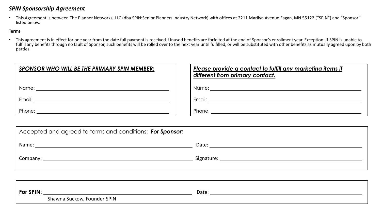#### *SPIN Sponsorship Agreement*

• This Agreement is between The Planner Networks, LLC (dba SPIN:Senior Planners Industry Network) with offices at 2211 Marilyn Avenue Eagan, MN 55122 ("SPIN") and "Sponsor" listed below.

#### **Terms**

• This agreement is in effect for one year from the date full payment is received. Unused benefits are forfeited at the end of Sponsor's enrollment year. Exception: If SPIN is unable to fulfill any benefits through no fault of Sponsor, such benefits will be rolled over to the next year until fulfilled, or will be substituted with other benefits as mutually agreed upon by both parties.

| SPONSOR WHO WILL BE THE PRIMARY SPIN MEMBER:                                                                    | Please provide a contact to fulfill any marketing items if<br>different from primary contact. |
|-----------------------------------------------------------------------------------------------------------------|-----------------------------------------------------------------------------------------------|
|                                                                                                                 |                                                                                               |
| Email: Email: Albert March 2014 (1996) and the state of the state of the state of the state of the state of the |                                                                                               |
|                                                                                                                 |                                                                                               |

| Accepted and agreed to terms and conditions: For Sponsor: |                                                                                                                                                                                                                                |  |  |  |
|-----------------------------------------------------------|--------------------------------------------------------------------------------------------------------------------------------------------------------------------------------------------------------------------------------|--|--|--|
| Name:                                                     | Date:                                                                                                                                                                                                                          |  |  |  |
| Company:                                                  | Signature: the contract of the contract of the contract of the contract of the contract of the contract of the contract of the contract of the contract of the contract of the contract of the contract of the contract of the |  |  |  |

| For SPIN |                                | Date |
|----------|--------------------------------|------|
|          | Founder SPIN<br>Shawna Suckow, |      |